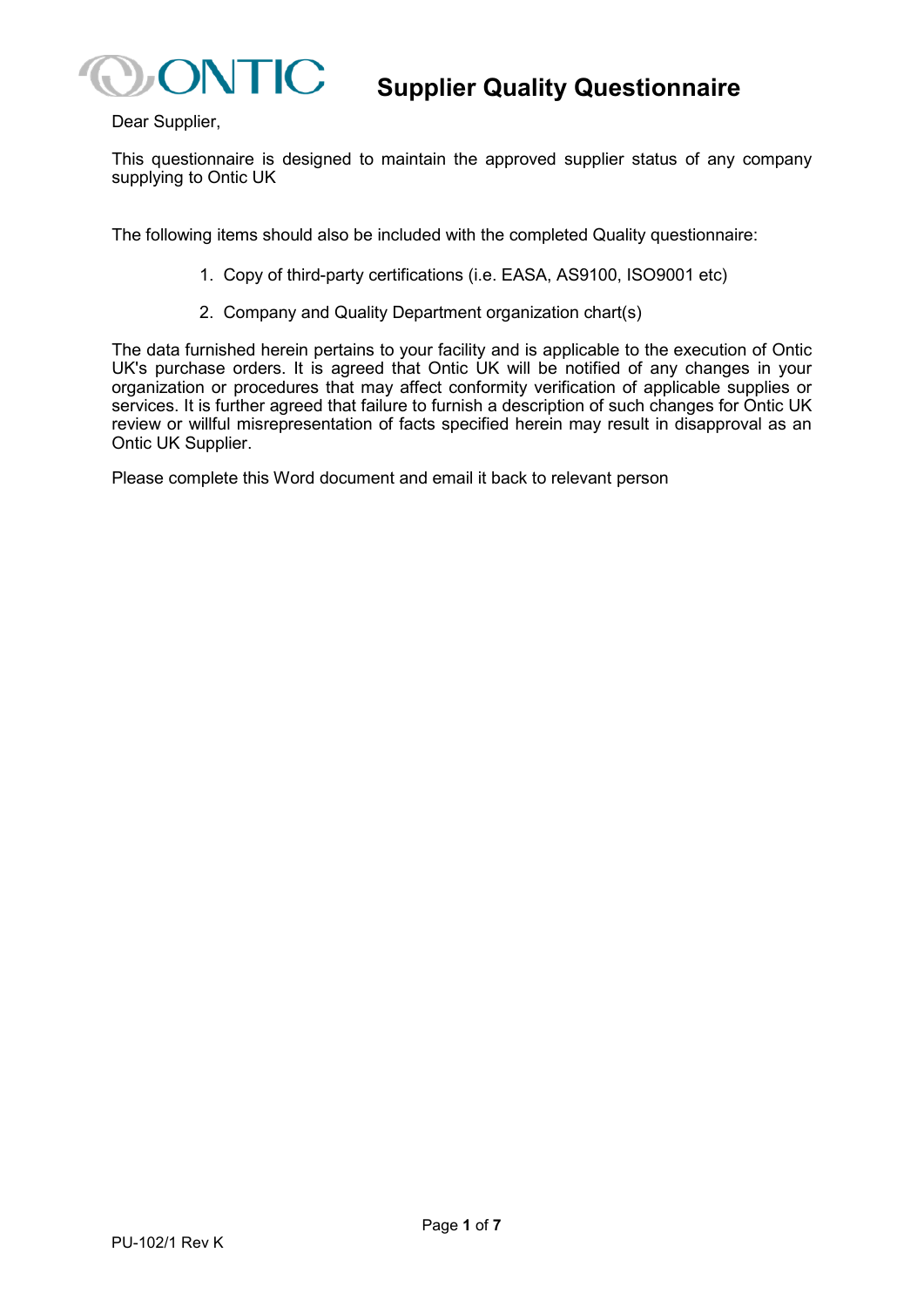

Dear Supplier,

This questionnaire is designed to maintain the approved supplier status of any company supplying to Ontic UK

The following items should also be included with the completed Quality questionnaire:

- 1. Copy of third-party certifications (i.e. EASA, AS9100, ISO9001 etc)
- 2. Company and Quality Department organization chart(s)

The data furnished herein pertains to your facility and is applicable to the execution of Ontic UK's purchase orders. It is agreed that Ontic UK will be notified of any changes in your organization or procedures that may affect conformity verification of applicable supplies or services. It is further agreed that failure to furnish a description of such changes for Ontic UK review or willful misrepresentation of facts specified herein may result in disapproval as an Ontic UK Supplier.

Please complete this Word document and email it back to relevant person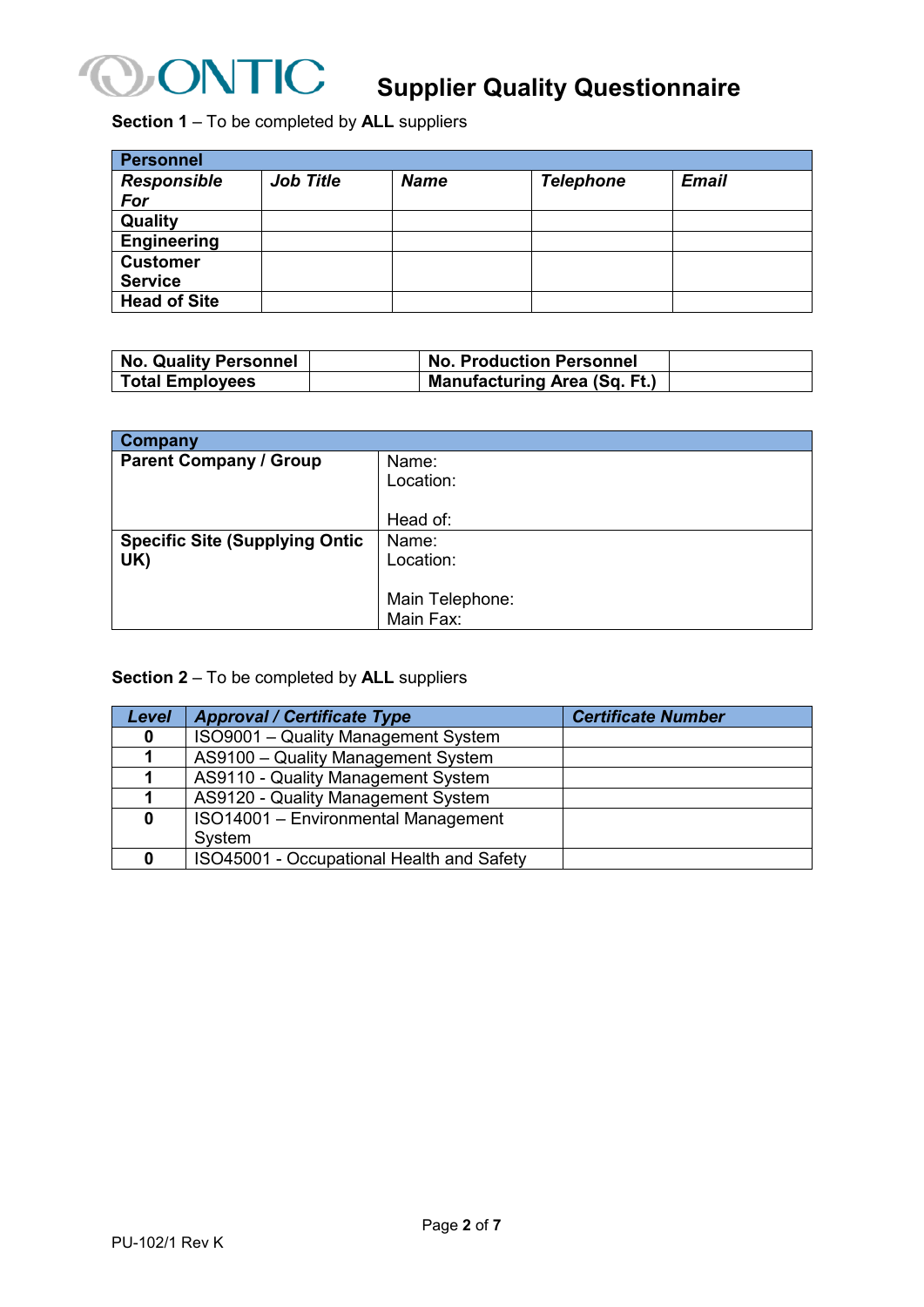

**Section 1** – To be completed by **ALL** suppliers

| <b>Personnel</b>    |                  |             |                  |              |
|---------------------|------------------|-------------|------------------|--------------|
| <b>Responsible</b>  | <b>Job Title</b> | <b>Name</b> | <b>Telephone</b> | <b>Email</b> |
| For                 |                  |             |                  |              |
| Quality             |                  |             |                  |              |
| <b>Engineering</b>  |                  |             |                  |              |
| <b>Customer</b>     |                  |             |                  |              |
| <b>Service</b>      |                  |             |                  |              |
| <b>Head of Site</b> |                  |             |                  |              |

| <b>No. Quality Personnel</b> | <b>No. Production Personnel</b>     |  |
|------------------------------|-------------------------------------|--|
| <b>Total Employees</b>       | <b>Manufacturing Area (Sq. Ft.)</b> |  |

| <b>Company</b>                        |                 |
|---------------------------------------|-----------------|
| <b>Parent Company / Group</b>         | Name:           |
|                                       | Location:       |
|                                       |                 |
|                                       | Head of:        |
| <b>Specific Site (Supplying Ontic</b> | Name:           |
| UK)                                   | Location:       |
|                                       |                 |
|                                       | Main Telephone: |
|                                       | Main Fax:       |

#### **Section 2** – To be completed by **ALL** suppliers

| Level    | <b>Approval / Certificate Type</b>        | <b>Certificate Number</b> |
|----------|-------------------------------------------|---------------------------|
| 0        | ISO9001 - Quality Management System       |                           |
|          | AS9100 - Quality Management System        |                           |
|          | AS9110 - Quality Management System        |                           |
|          | AS9120 - Quality Management System        |                           |
| $\bf{0}$ | ISO14001 - Environmental Management       |                           |
|          | System                                    |                           |
| 0        | ISO45001 - Occupational Health and Safety |                           |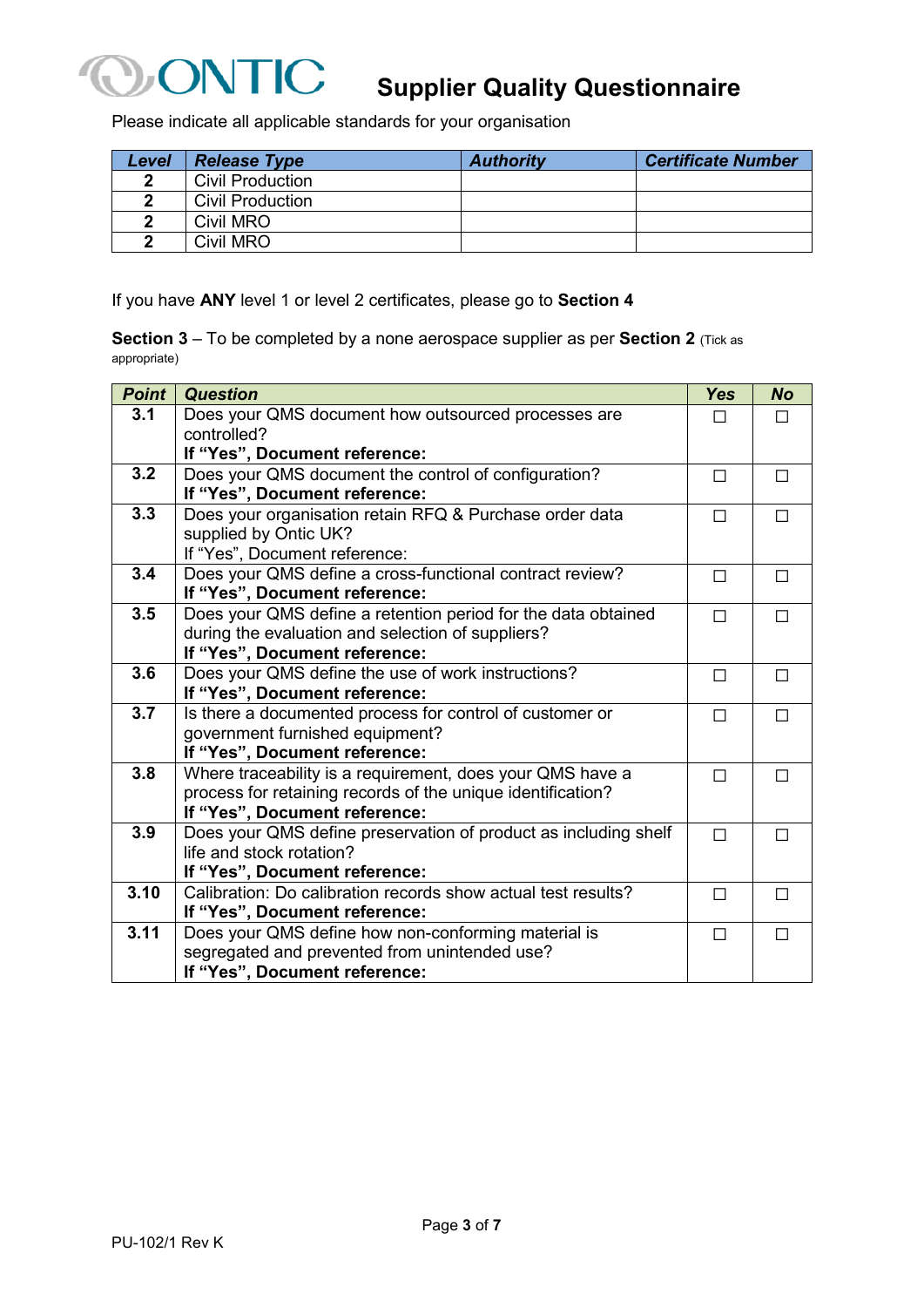

## **Supplier Quality Questionnaire**

Please indicate all applicable standards for your organisation

| Level | <b>Release Type</b>     | <b>Authority</b> | <b>Certificate Number</b> |
|-------|-------------------------|------------------|---------------------------|
| 2     | <b>Civil Production</b> |                  |                           |
|       | Civil Production        |                  |                           |
|       | Civil MRO               |                  |                           |
| ◠     | Civil MRO               |                  |                           |

If you have **ANY** level 1 or level 2 certificates, please go to **Section 4**

**Section 3** – To be completed by a none aerospace supplier as per **Section 2** (Tick as appropriate)

| <b>Point</b> | <b>Question</b>                                                 | <b>Yes</b>   | <b>No</b> |
|--------------|-----------------------------------------------------------------|--------------|-----------|
| 3.1          | Does your QMS document how outsourced processes are             | $\mathsf{L}$ | П         |
|              | controlled?                                                     |              |           |
|              | If "Yes", Document reference:                                   |              |           |
| 3.2          | Does your QMS document the control of configuration?            | П            | □         |
|              | If "Yes", Document reference:                                   |              |           |
| 3.3          | Does your organisation retain RFQ & Purchase order data         | П            | П         |
|              | supplied by Ontic UK?                                           |              |           |
|              | If "Yes", Document reference:                                   |              |           |
| 3.4          | Does your QMS define a cross-functional contract review?        | П            | П         |
|              | If "Yes", Document reference:                                   |              |           |
| 3.5          | Does your QMS define a retention period for the data obtained   | П            | П         |
|              | during the evaluation and selection of suppliers?               |              |           |
|              | If "Yes", Document reference:                                   |              |           |
| 3.6          | Does your QMS define the use of work instructions?              | П            | П         |
|              | If "Yes", Document reference:                                   |              |           |
| 3.7          | Is there a documented process for control of customer or        | П            | П         |
|              | government furnished equipment?                                 |              |           |
|              | If "Yes", Document reference:                                   |              |           |
| 3.8          | Where traceability is a requirement, does your QMS have a       | П            | П         |
|              | process for retaining records of the unique identification?     |              |           |
|              | If "Yes", Document reference:                                   |              |           |
| 3.9          | Does your QMS define preservation of product as including shelf | П            | П         |
|              | life and stock rotation?                                        |              |           |
|              | If "Yes", Document reference:                                   |              |           |
| 3.10         | Calibration: Do calibration records show actual test results?   | $\Box$       | П         |
|              | If "Yes", Document reference:                                   |              |           |
| 3.11         | Does your QMS define how non-conforming material is             | П            | П         |
|              | segregated and prevented from unintended use?                   |              |           |
|              | If "Yes", Document reference:                                   |              |           |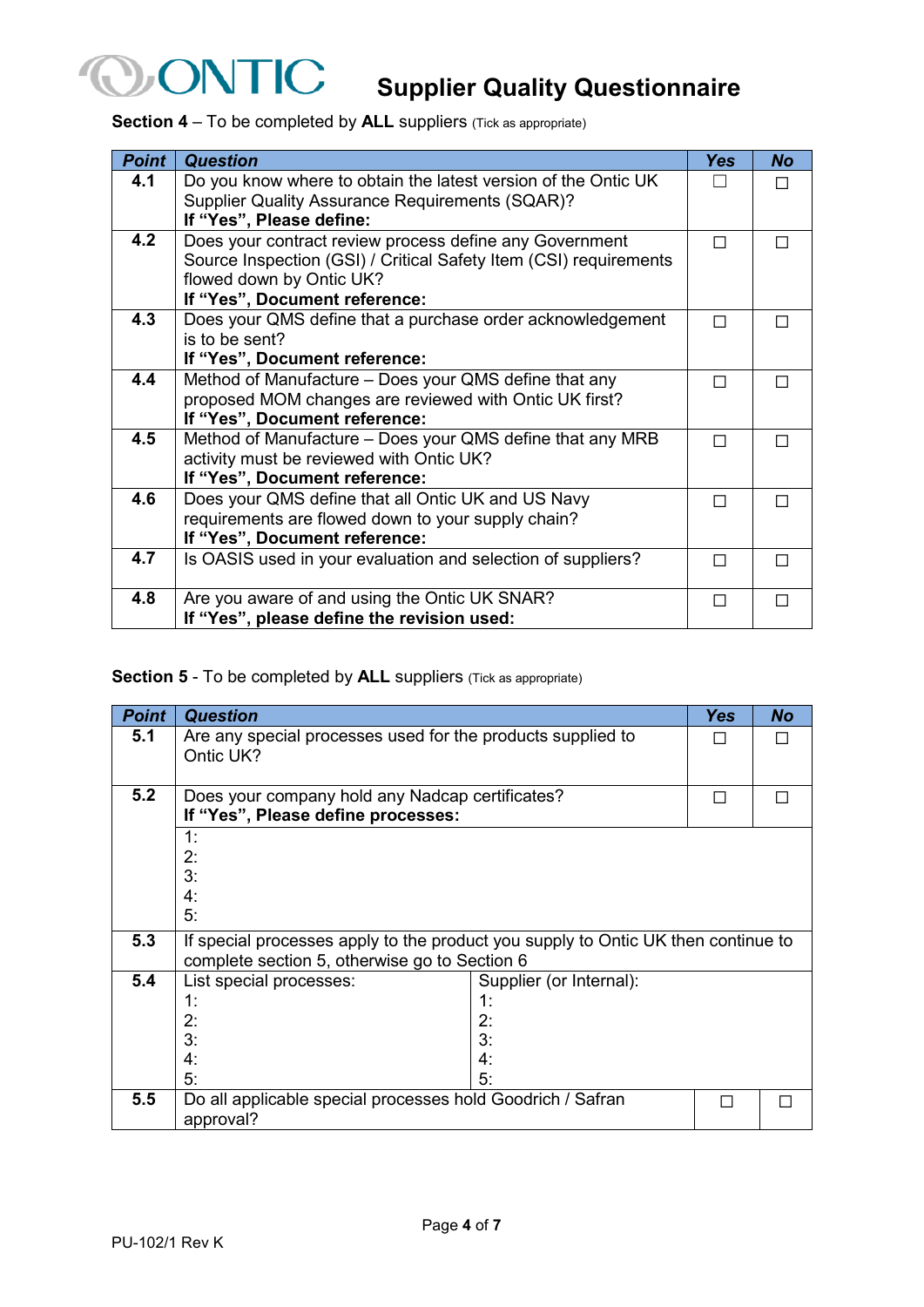

# *ONTIC* Supplier Quality Questionnaire

**Section 4** – To be completed by **ALL** suppliers (Tick as appropriate)

| Point | <b>Question</b>                                                                                                                                                                           | <b>Yes</b> | <b>No</b> |
|-------|-------------------------------------------------------------------------------------------------------------------------------------------------------------------------------------------|------------|-----------|
| 4.1   | Do you know where to obtain the latest version of the Ontic UK<br><b>Supplier Quality Assurance Requirements (SQAR)?</b><br>If "Yes", Please define:                                      |            |           |
| 4.2   | Does your contract review process define any Government<br>Source Inspection (GSI) / Critical Safety Item (CSI) requirements<br>flowed down by Ontic UK?<br>If "Yes", Document reference: | П          |           |
| 4.3   | Does your QMS define that a purchase order acknowledgement<br>is to be sent?<br>If "Yes", Document reference:                                                                             |            |           |
| 4.4   | Method of Manufacture - Does your QMS define that any<br>proposed MOM changes are reviewed with Ontic UK first?<br>If "Yes", Document reference:                                          | П          |           |
| 4.5   | Method of Manufacture – Does your QMS define that any MRB<br>activity must be reviewed with Ontic UK?<br>If "Yes", Document reference:                                                    | ш          |           |
| 4.6   | Does your QMS define that all Ontic UK and US Navy<br>requirements are flowed down to your supply chain?<br>If "Yes", Document reference:                                                 | П          |           |
| 4.7   | Is OASIS used in your evaluation and selection of suppliers?                                                                                                                              | ш          |           |
| 4.8   | Are you aware of and using the Ontic UK SNAR?<br>If "Yes", please define the revision used:                                                                                               | П          | П         |

#### **Section 5** - To be completed by **ALL** suppliers (Tick as appropriate)

| <b>Point</b> | <b>Question</b>                                                                                                                    |                                                       | <b>Yes</b> | <b>No</b> |
|--------------|------------------------------------------------------------------------------------------------------------------------------------|-------------------------------------------------------|------------|-----------|
| 5.1          | Are any special processes used for the products supplied to<br>Ontic UK?                                                           |                                                       |            |           |
| 5.2          | Does your company hold any Nadcap certificates?<br>If "Yes", Please define processes:                                              |                                                       | $\Box$     |           |
|              | 1:<br>2:<br>3:<br>4:<br>5:                                                                                                         |                                                       |            |           |
| 5.3          | If special processes apply to the product you supply to Ontic UK then continue to<br>complete section 5, otherwise go to Section 6 |                                                       |            |           |
| 5.4          | List special processes:<br>1:<br>2:<br>3:<br>4:<br>5:                                                                              | Supplier (or Internal):<br>1:<br>2:<br>3:<br>4:<br>5: |            |           |
| 5.5          | Do all applicable special processes hold Goodrich / Safran<br>approval?                                                            |                                                       | <b>I</b>   |           |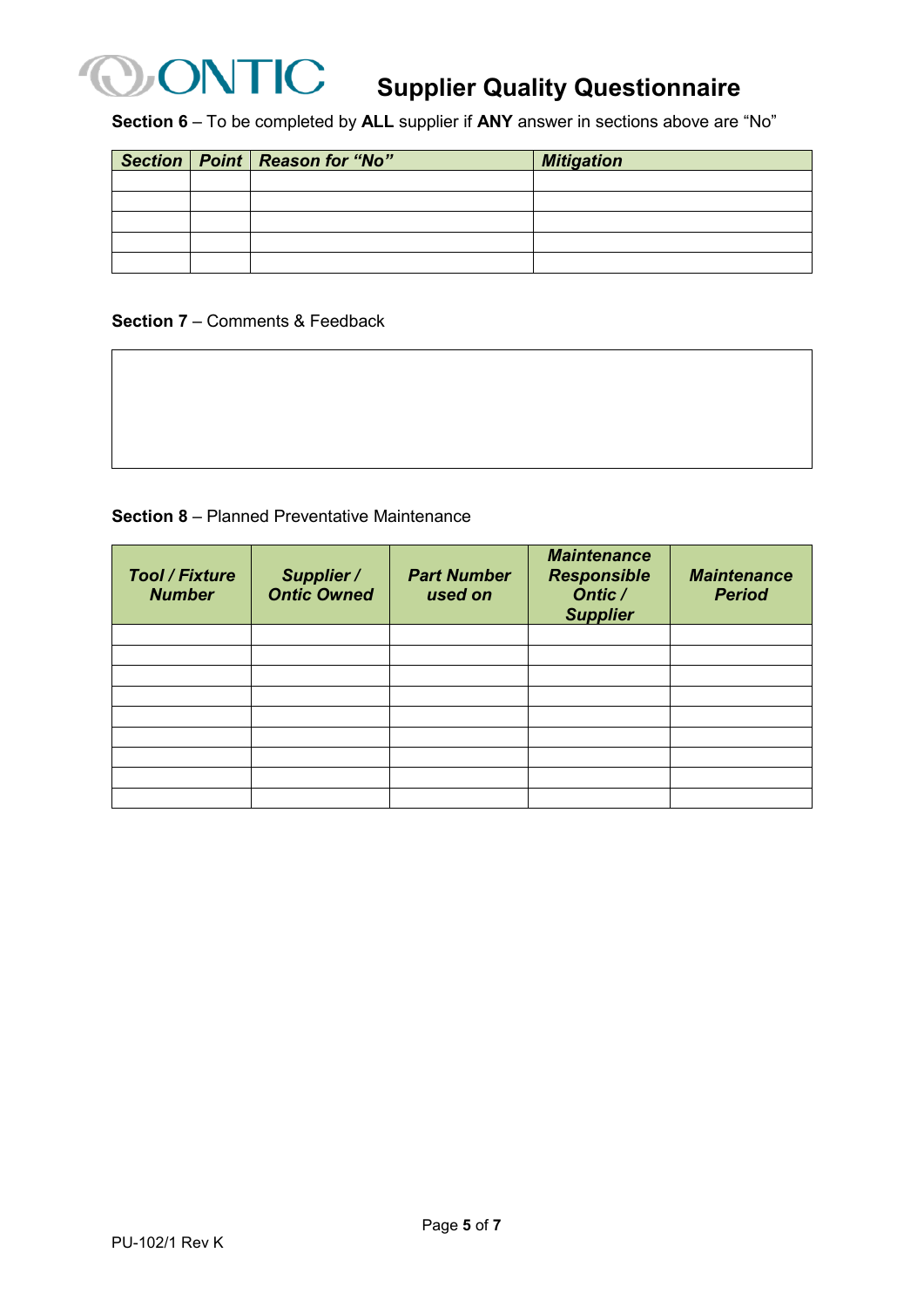

## **ONTIC** Supplier Quality Questionnaire

**Section 6** – To be completed by **ALL** supplier if **ANY** answer in sections above are "No"

|  | Section   Point   Reason for "No" | <b>Mitigation</b> |
|--|-----------------------------------|-------------------|
|  |                                   |                   |
|  |                                   |                   |
|  |                                   |                   |
|  |                                   |                   |
|  |                                   |                   |

#### **Section 7** – Comments & Feedback

**Section 8** – Planned Preventative Maintenance

| <b>Tool / Fixture</b><br><b>Number</b> | Supplier /<br><b>Ontic Owned</b> | <b>Part Number</b><br>used on | <b>Maintenance</b><br><b>Responsible</b><br>Ontic /<br><b>Supplier</b> | <b>Maintenance</b><br><b>Period</b> |
|----------------------------------------|----------------------------------|-------------------------------|------------------------------------------------------------------------|-------------------------------------|
|                                        |                                  |                               |                                                                        |                                     |
|                                        |                                  |                               |                                                                        |                                     |
|                                        |                                  |                               |                                                                        |                                     |
|                                        |                                  |                               |                                                                        |                                     |
|                                        |                                  |                               |                                                                        |                                     |
|                                        |                                  |                               |                                                                        |                                     |
|                                        |                                  |                               |                                                                        |                                     |
|                                        |                                  |                               |                                                                        |                                     |
|                                        |                                  |                               |                                                                        |                                     |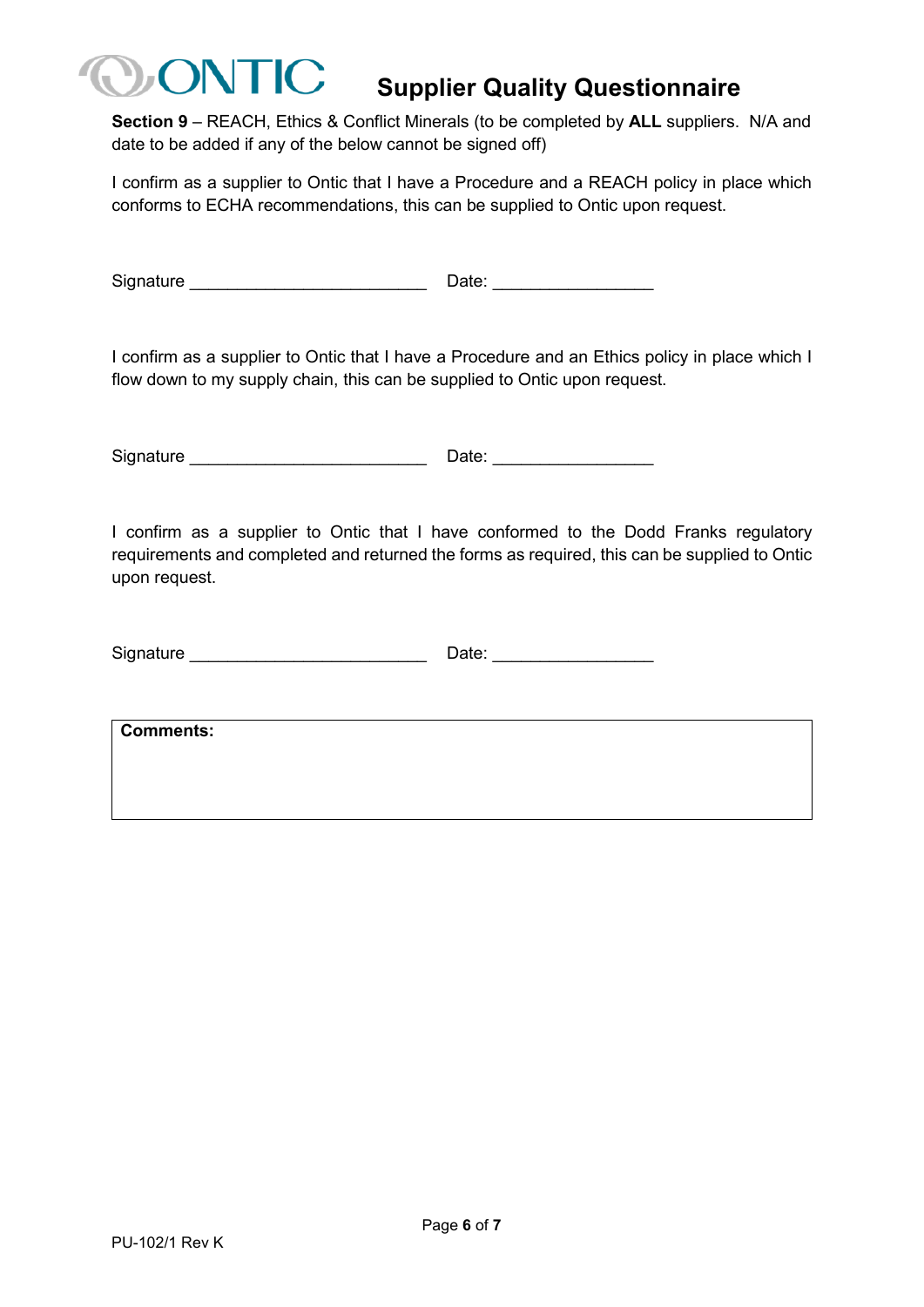### **Supplier Quality Questionnaire**

**Section 9** – REACH, Ethics & Conflict Minerals (to be completed by **ALL** suppliers. N/A and date to be added if any of the below cannot be signed off)

I confirm as a supplier to Ontic that I have a Procedure and a REACH policy in place which conforms to ECHA recommendations, this can be supplied to Ontic upon request.

Signature **Example 20** and  $\overline{a}$  Date:  $\overline{b}$ 

 $\sqrt{2}$ 

I confirm as a supplier to Ontic that I have a Procedure and an Ethics policy in place which I flow down to my supply chain, this can be supplied to Ontic upon request.

Signature \_\_\_\_\_\_\_\_\_\_\_\_\_\_\_\_\_\_\_\_\_\_\_\_\_ Date: \_\_\_\_\_\_\_\_\_\_\_\_\_\_\_\_\_

I confirm as a supplier to Ontic that I have conformed to the Dodd Franks regulatory requirements and completed and returned the forms as required, this can be supplied to Ontic upon request.

| Signature | Date: |
|-----------|-------|
|-----------|-------|

**Comments:**